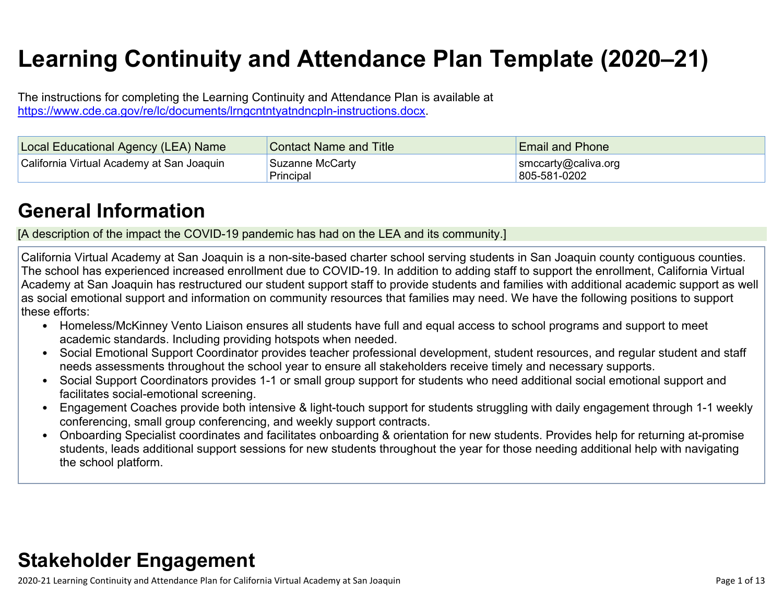# **Learning Continuity and Attendance Plan Template (2020–21)**

The instructions for completing the Learning Continuity and Attendance Plan is available at <https://www.cde.ca.gov/re/lc/documents/lrngcntntyatndncpln-instructions.docx>.

| Local Educational Agency (LEA) Name       | <b>Contact Name and Title</b> | <b>Email and Phone</b>              |
|-------------------------------------------|-------------------------------|-------------------------------------|
| California Virtual Academy at San Joaquin | Suzanne McCarty<br>Principal  | smccarty@caliva.org<br>805-581-0202 |

## **General [Information](http://www.doc-tracking.com/screenshots/20LCP/Instructions/20LCPInstructions.htm#generalinformation)**

[A description of the impact the COVID-19 pandemic has had on the LEA and its community.]

California Virtual Academy at San Joaquin is a non-site-based charter school serving students in San Joaquin county contiguous counties. The school has experienced increased enrollment due to COVID-19. In addition to adding staff to support the enrollment, California Virtual Academy at San Joaquin has restructured our student support staff to provide students and families with additional academic support as well as social emotional support and information on community resources that families may need. We have the following positions to support these efforts:

- Homeless/McKinney Vento Liaison ensures all students have full and equal access to school programs and support to meet academic standards. Including providing hotspots when needed.
- Social Emotional Support Coordinator provides teacher professional development, student resources, and regular student and staff needs assessments throughout the school year to ensure all stakeholders receive timely and necessary supports.
- Social Support Coordinators provides 1-1 or small group support for students who need additional social emotional support and facilitates social-emotional screening.
- Engagement Coaches provide both intensive & light-touch support for students struggling with daily engagement through 1-1 weekly conferencing, small group conferencing, and weekly support contracts.
- Onboarding Specialist coordinates and facilitates onboarding & orientation for new students. Provides help for returning at-promise students, leads additional support sessions for new students throughout the year for those needing additional help with navigating the school platform.

## **Stakeholder [Engagement](http://www.doc-tracking.com/screenshots/20LCP/Instructions/20LCPInstructions.htm#stakeholderengagement)**

2020-21 Learning Continuity and Attendance Plan for California Virtual Academy at San Joaquin Page 1 of 13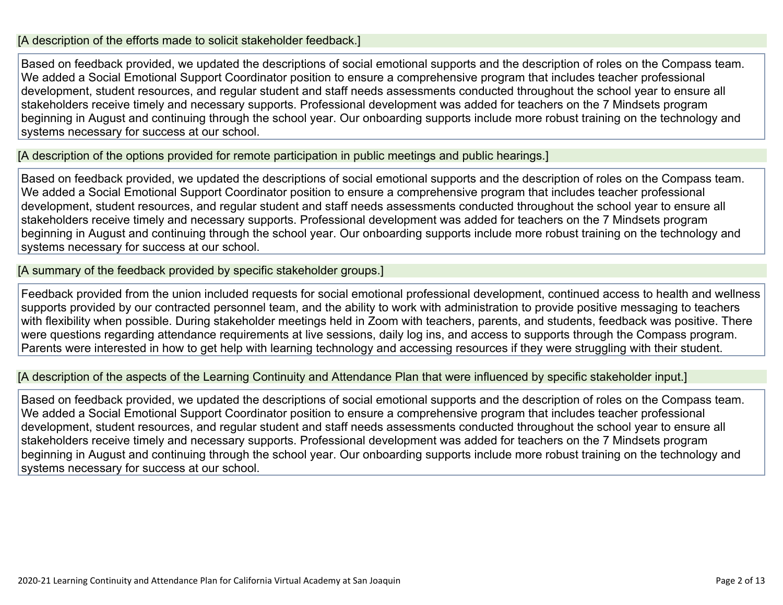#### [A description of the efforts made to solicit stakeholder feedback.]

Based on feedback provided, we updated the descriptions of social emotional supports and the description of roles on the Compass team. We added a Social Emotional Support Coordinator position to ensure a comprehensive program that includes teacher professional development, student resources, and regular student and staff needs assessments conducted throughout the school year to ensure all stakeholders receive timely and necessary supports. Professional development was added for teachers on the 7 Mindsets program beginning in August and continuing through the school year. Our onboarding supports include more robust training on the technology and systems necessary for success at our school.

[A description of the options provided for remote participation in public meetings and public hearings.]

Based on feedback provided, we updated the descriptions of social emotional supports and the description of roles on the Compass team. We added a Social Emotional Support Coordinator position to ensure a comprehensive program that includes teacher professional development, student resources, and regular student and staff needs assessments conducted throughout the school year to ensure all stakeholders receive timely and necessary supports. Professional development was added for teachers on the 7 Mindsets program beginning in August and continuing through the school year. Our onboarding supports include more robust training on the technology and systems necessary for success at our school.

[A summary of the feedback provided by specific stakeholder groups.]

Feedback provided from the union included requests for social emotional professional development, continued access to health and wellness supports provided by our contracted personnel team, and the ability to work with administration to provide positive messaging to teachers with flexibility when possible. During stakeholder meetings held in Zoom with teachers, parents, and students, feedback was positive. There were questions regarding attendance requirements at live sessions, daily log ins, and access to supports through the Compass program. Parents were interested in how to get help with learning technology and accessing resources if they were struggling with their student.

[A description of the aspects of the Learning Continuity and Attendance Plan that were influenced by specific stakeholder input.]

Based on feedback provided, we updated the descriptions of social emotional supports and the description of roles on the Compass team. We added a Social Emotional Support Coordinator position to ensure a comprehensive program that includes teacher professional development, student resources, and regular student and staff needs assessments conducted throughout the school year to ensure all stakeholders receive timely and necessary supports. Professional development was added for teachers on the 7 Mindsets program beginning in August and continuing through the school year. Our onboarding supports include more robust training on the technology and systems necessary for success at our school.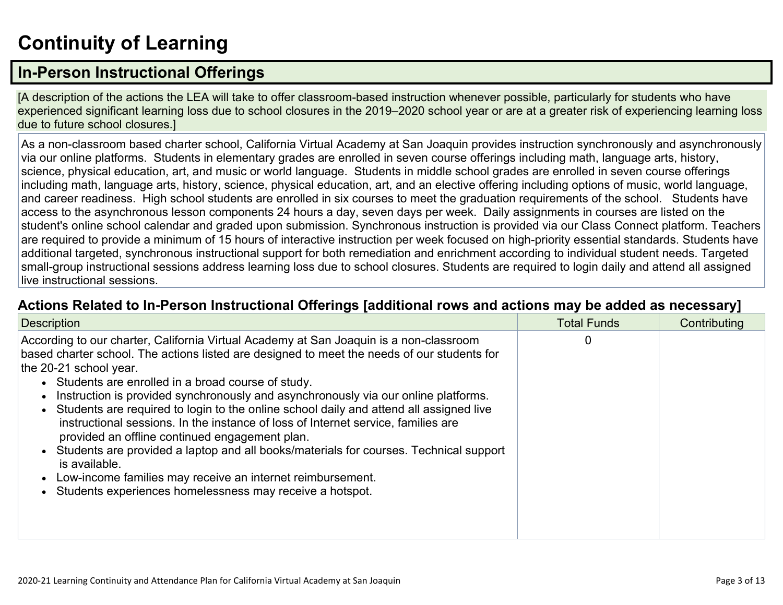# **[Continuity](http://www.doc-tracking.com/screenshots/20LCP/Instructions/20LCPInstructions.htm#ContinuityofLearning) of Learnin[g](http://www.doc-tracking.com/screenshots/20LCP/Instructions/20LCPInstructions.htm#ContinuityofLearning)**

### **In-Person [Instructional](http://www.doc-tracking.com/screenshots/20LCP/Instructions/20LCPInstructions.htm#ContinuityofLearning1) Offerings**

[A description of the actions the LEA will take to offer classroom-based instruction whenever possible, particularly for students who have experienced significant learning loss due to school closures in the 2019–2020 school year or are at a greater risk of experiencing learning loss due to future school closures.]

As a non-classroom based charter school, California Virtual Academy at San Joaquin provides instruction synchronously and asynchronously via our online platforms. Students in elementary grades are enrolled in seven course offerings including math, language arts, history, science, physical education, art, and music or world language. Students in middle school grades are enrolled in seven course offerings including math, language arts, history, science, physical education, art, and an elective offering including options of music, world language, and career readiness. High school students are enrolled in six courses to meet the graduation requirements of the school. Students have access to the asynchronous lesson components 24 hours a day, seven days per week. Daily assignments in courses are listed on the student's online school calendar and graded upon submission. Synchronous instruction is provided via our Class Connect platform. Teachers are required to provide a minimum of 15 hours of interactive instruction per week focused on high-priority essential standards. Students have additional targeted, synchronous instructional support for both remediation and enrichment according to individual student needs. Targeted small-group instructional sessions address learning loss due to school closures. Students are required to login daily and attend all assigned live instructional sessions.

#### **Actions Related to In-Person [Instructional](http://www.doc-tracking.com/screenshots/20LCP/Instructions/20LCPInstructions.htm#ContinuityofLearning2) Offerings [additional rows and actions may be added as necessary]**

| <b>Description</b>                                                                                                                                                                                                                                                                                                                                                                                                                                                                                                                                                                                                                                                                                                                                                                                                                | <b>Total Funds</b> | Contributing |
|-----------------------------------------------------------------------------------------------------------------------------------------------------------------------------------------------------------------------------------------------------------------------------------------------------------------------------------------------------------------------------------------------------------------------------------------------------------------------------------------------------------------------------------------------------------------------------------------------------------------------------------------------------------------------------------------------------------------------------------------------------------------------------------------------------------------------------------|--------------------|--------------|
| According to our charter, California Virtual Academy at San Joaquin is a non-classroom<br>based charter school. The actions listed are designed to meet the needs of our students for<br>the 20-21 school year.<br>• Students are enrolled in a broad course of study.<br>Instruction is provided synchronously and asynchronously via our online platforms.<br>Students are required to login to the online school daily and attend all assigned live<br>instructional sessions. In the instance of loss of Internet service, families are<br>provided an offline continued engagement plan.<br>Students are provided a laptop and all books/materials for courses. Technical support<br>is available.<br>Low-income families may receive an internet reimbursement.<br>Students experiences homelessness may receive a hotspot. | 0                  |              |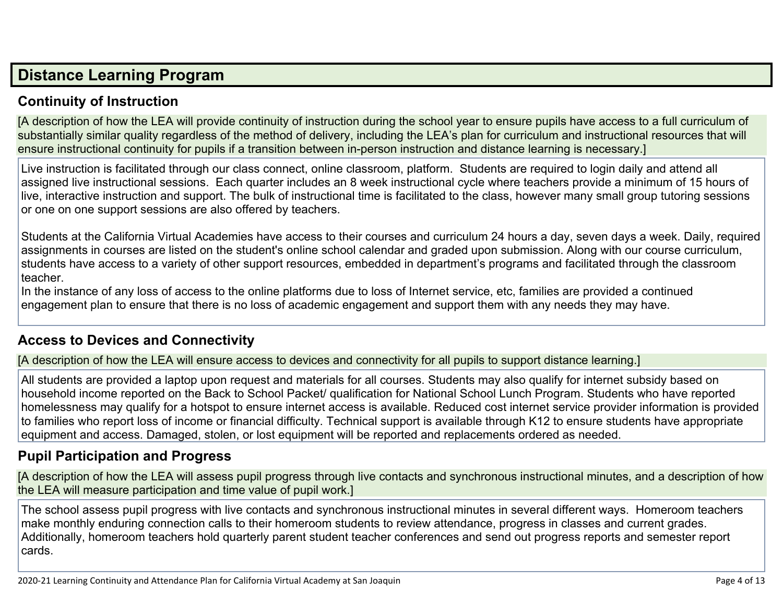## **Distance [Learning](http://www.doc-tracking.com/screenshots/20LCP/Instructions/20LCPInstructions.htm#DistanceLearningProgram) Program**

#### **Continuity of [Instruction](http://www.doc-tracking.com/screenshots/20LCP/Instructions/20LCPInstructions.htm#DistanceLearningProgram1)**

[A description of how the LEA will provide continuity of instruction during the school year to ensure pupils have access to a full curriculum of substantially similar quality regardless of the method of delivery, including the LEA's plan for curriculum and instructional resources that will ensure instructional continuity for pupils if a transition between in-person instruction and distance learning is necessary.]

Live instruction is facilitated through our class connect, online classroom, platform. Students are required to login daily and attend all assigned live instructional sessions. Each quarter includes an 8 week instructional cycle where teachers provide a minimum of 15 hours of live, interactive instruction and support. The bulk of instructional time is facilitated to the class, however many small group tutoring sessions or one on one support sessions are also offered by teachers.

Students at the California Virtual Academies have access to their courses and curriculum 24 hours a day, seven days a week. Daily, required assignments in courses are listed on the student's online school calendar and graded upon submission. Along with our course curriculum, students have access to a variety of other support resources, embedded in department's programs and facilitated through the classroom teacher.

In the instance of any loss of access to the online platforms due to loss of Internet service, etc, families are provided a continued engagement plan to ensure that there is no loss of academic engagement and support them with any needs they may have.

#### **Access to Devices and [Connectivity](http://www.doc-tracking.com/screenshots/20LCP/Instructions/20LCPInstructions.htm#DistanceLearningProgram2)**

[A description of how the LEA will ensure access to devices and connectivity for all pupils to support distance learning.]

All students are provided a laptop upon request and materials for all courses. Students may also qualify for internet subsidy based on household income reported on the Back to School Packet/ qualification for National School Lunch Program. Students who have reported homelessness may qualify for a hotspot to ensure internet access is available. Reduced cost internet service provider information is provided to families who report loss of income or financial difficulty. Technical support is available through K12 to ensure students have appropriate equipment and access. Damaged, stolen, or lost equipment will be reported and replacements ordered as needed.

#### **Pupil [Participation](http://www.doc-tracking.com/screenshots/20LCP/Instructions/20LCPInstructions.htm#DistanceLearningProgram3) and Progress**

[A description of how the LEA will assess pupil progress through live contacts and synchronous instructional minutes, and a description of how the LEA will measure participation and time value of pupil work.]

The school assess pupil progress with live contacts and synchronous instructional minutes in several different ways. Homeroom teachers make monthly enduring connection calls to their homeroom students to review attendance, progress in classes and current grades. Additionally, homeroom teachers hold quarterly parent student teacher conferences and send out progress reports and semester report cards.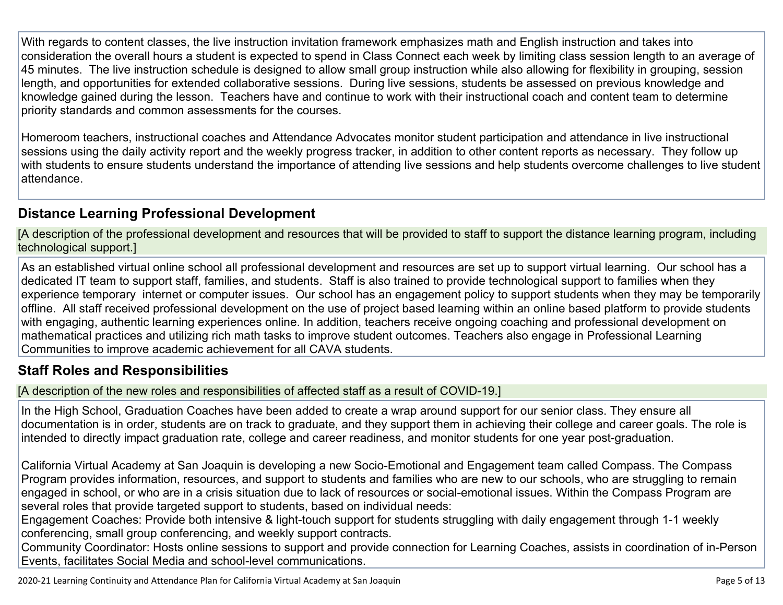With regards to content classes, the live instruction invitation framework emphasizes math and English instruction and takes into consideration the overall hours a student is expected to spend in Class Connect each week by limiting class session length to an average of 45 minutes. The live instruction schedule is designed to allow small group instruction while also allowing for flexibility in grouping, session length, and opportunities for extended collaborative sessions. During live sessions, students be assessed on previous knowledge and knowledge gained during the lesson. Teachers have and continue to work with their instructional coach and content team to determine priority standards and common assessments for the courses.

Homeroom teachers, instructional coaches and Attendance Advocates monitor student participation and attendance in live instructional sessions using the daily activity report and the weekly progress tracker, in addition to other content reports as necessary. They follow up with students to ensure students understand the importance of attending live sessions and help students overcome challenges to live student attendance.

#### **Distance Learning Professional [Development](http://www.doc-tracking.com/screenshots/20LCP/Instructions/20LCPInstructions.htm#DistanceLearningProgram4)**

[A description of the professional development and resources that will be provided to staff to support the distance learning program, including technological support.]

As an established virtual online school all professional development and resources are set up to support virtual learning. Our school has a dedicated IT team to support staff, families, and students. Staff is also trained to provide technological support to families when they experience temporary internet or computer issues. Our school has an engagement policy to support students when they may be temporarily offline. All staff received professional development on the use of project based learning within an online based platform to provide students with engaging, authentic learning experiences online. In addition, teachers receive ongoing coaching and professional development on mathematical practices and utilizing rich math tasks to improve student outcomes. Teachers also engage in Professional Learning Communities to improve academic achievement for all CAVA students.

#### **Staff Roles and [Responsibilities](http://www.doc-tracking.com/screenshots/20LCP/Instructions/20LCPInstructions.htm#DistanceLearningProgram5)**

[A description of the new roles and responsibilities of affected staff as a result of COVID-19.]

In the High School, Graduation Coaches have been added to create a wrap around support for our senior class. They ensure all documentation is in order, students are on track to graduate, and they support them in achieving their college and career goals. The role is intended to directly impact graduation rate, college and career readiness, and monitor students for one year post-graduation.

California Virtual Academy at San Joaquin is developing a new Socio-Emotional and Engagement team called Compass. The Compass Program provides information, resources, and support to students and families who are new to our schools, who are struggling to remain engaged in school, or who are in a crisis situation due to lack of resources or social-emotional issues. Within the Compass Program are several roles that provide targeted support to students, based on individual needs:

Engagement Coaches: Provide both intensive & light-touch support for students struggling with daily engagement through 1-1 weekly conferencing, small group conferencing, and weekly support contracts.

Community Coordinator: Hosts online sessions to support and provide connection for Learning Coaches, assists in coordination of in-Person Events, facilitates Social Media and school-level communications.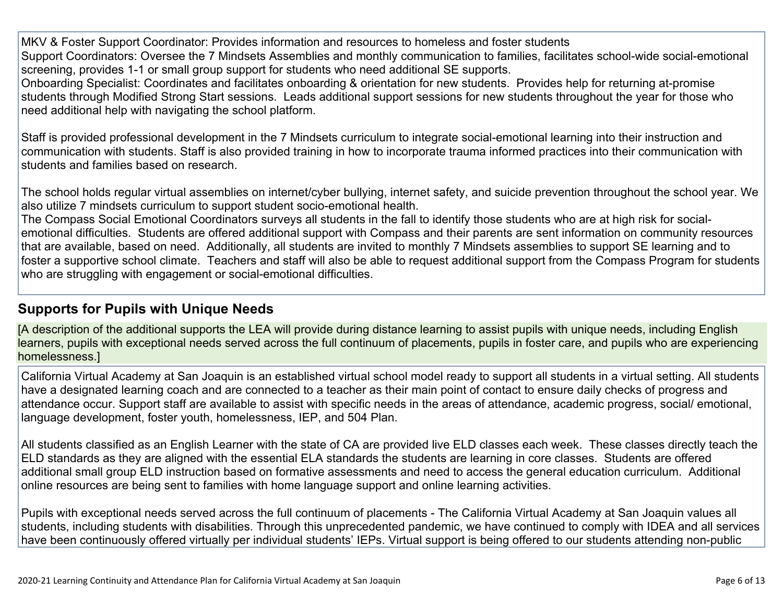MKV & Foster Support Coordinator: Provides information and resources to homeless and foster students Support Coordinators: Oversee the 7 Mindsets Assemblies and monthly communication to families, facilitates school-wide social-emotional screening, provides 1-1 or small group support for students who need additional SE supports.

Onboarding Specialist: Coordinates and facilitates onboarding & orientation for new students. Provides help for returning at-promise students through Modified Strong Start sessions. Leads additional support sessions for new students throughout the year for those who need additional help with navigating the school platform.

Staff is provided professional development in the 7 Mindsets curriculum to integrate social-emotional learning into their instruction and communication with students. Staff is also provided training in how to incorporate trauma informed practices into their communication with students and families based on research.

The school holds regular virtual assemblies on internet/cyber bullying, internet safety, and suicide prevention throughout the school year. We also utilize 7 mindsets curriculum to support student socio-emotional health.

The Compass Social Emotional Coordinators surveys all students in the fall to identify those students who are at high risk for socialemotional difficulties. Students are offered additional support with Compass and their parents are sent information on community resources that are available, based on need. Additionally, all students are invited to monthly 7 Mindsets assemblies to support SE learning and to foster a supportive school climate. Teachers and staff will also be able to request additional support from the Compass Program for students who are struggling with engagement or social-emotional difficulties.

#### **[Supports](http://www.doc-tracking.com/screenshots/20LCP/Instructions/20LCPInstructions.htm#DistanceLearningProgram6) for Pupils with Unique Needs**

[A description of the additional supports the LEA will provide during distance learning to assist pupils with unique needs, including English learners, pupils with exceptional needs served across the full continuum of placements, pupils in foster care, and pupils who are experiencing homelessness.]

California Virtual Academy at San Joaquin is an established virtual school model ready to support all students in a virtual setting. All students have a designated learning coach and are connected to a teacher as their main point of contact to ensure daily checks of progress and attendance occur. Support staff are available to assist with specific needs in the areas of attendance, academic progress, social/ emotional, language development, foster youth, homelessness, IEP, and 504 Plan.

All students classified as an English Learner with the state of CA are provided live ELD classes each week. These classes directly teach the ELD standards as they are aligned with the essential ELA standards the students are learning in core classes. Students are offered additional small group ELD instruction based on formative assessments and need to access the general education curriculum. Additional online resources are being sent to families with home language support and online learning activities.

Pupils with exceptional needs served across the full continuum of placements - The California Virtual Academy at San Joaquin values all students, including students with disabilities. Through this unprecedented pandemic, we have continued to comply with IDEA and all services have been continuously offered virtually per individual students' IEPs. Virtual support is being offered to our students attending non-public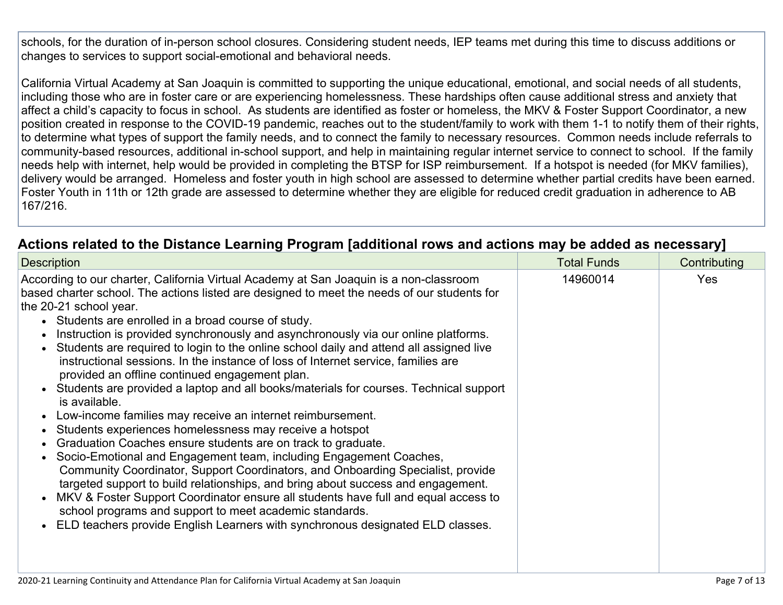schools, for the duration of in-person school closures. Considering student needs, IEP teams met during this time to discuss additions or changes to services to support social-emotional and behavioral needs.

California Virtual Academy at San Joaquin is committed to supporting the unique educational, emotional, and social needs of all students, including those who are in foster care or are experiencing homelessness. These hardships often cause additional stress and anxiety that affect a child's capacity to focus in school. As students are identified as foster or homeless, the MKV & Foster Support Coordinator, a new position created in response to the COVID-19 pandemic, reaches out to the student/family to work with them 1-1 to notify them of their rights, to determine what types of support the family needs, and to connect the family to necessary resources. Common needs include referrals to community-based resources, additional in-school support, and help in maintaining regular internet service to connect to school. If the family needs help with internet, help would be provided in completing the BTSP for ISP reimbursement. If a hotspot is needed (for MKV families), delivery would be arranged. Homeless and foster youth in high school are assessed to determine whether partial credits have been earned. Foster Youth in 11th or 12th grade are assessed to determine whether they are eligible for reduced credit graduation in adherence to AB 167/216.

#### **Actions related to the Distance Learning Program [additional rows and actions may be added as [necessary\]](http://www.doc-tracking.com/screenshots/20LCP/Instructions/20LCPInstructions.htm#DistanceLearningProgram7)**

| <b>Description</b>                                                                                                                                                                                                                                                                                                                                                                                                                                                                                                                                                                                                                                                                                                                                                                                                                                                                                                                                                                                                                                                                                                                                                                                                                                                                                                                                                               | <b>Total Funds</b> | Contributing |  |
|----------------------------------------------------------------------------------------------------------------------------------------------------------------------------------------------------------------------------------------------------------------------------------------------------------------------------------------------------------------------------------------------------------------------------------------------------------------------------------------------------------------------------------------------------------------------------------------------------------------------------------------------------------------------------------------------------------------------------------------------------------------------------------------------------------------------------------------------------------------------------------------------------------------------------------------------------------------------------------------------------------------------------------------------------------------------------------------------------------------------------------------------------------------------------------------------------------------------------------------------------------------------------------------------------------------------------------------------------------------------------------|--------------------|--------------|--|
| According to our charter, California Virtual Academy at San Joaquin is a non-classroom<br>based charter school. The actions listed are designed to meet the needs of our students for<br>the 20-21 school year.<br>• Students are enrolled in a broad course of study.<br>Instruction is provided synchronously and asynchronously via our online platforms.<br>Students are required to login to the online school daily and attend all assigned live<br>instructional sessions. In the instance of loss of Internet service, families are<br>provided an offline continued engagement plan.<br>Students are provided a laptop and all books/materials for courses. Technical support<br>is available.<br>Low-income families may receive an internet reimbursement.<br>Students experiences homelessness may receive a hotspot<br>Graduation Coaches ensure students are on track to graduate.<br>Socio-Emotional and Engagement team, including Engagement Coaches,<br>Community Coordinator, Support Coordinators, and Onboarding Specialist, provide<br>targeted support to build relationships, and bring about success and engagement.<br>MKV & Foster Support Coordinator ensure all students have full and equal access to<br>school programs and support to meet academic standards.<br>ELD teachers provide English Learners with synchronous designated ELD classes. | 14960014           | <b>Yes</b>   |  |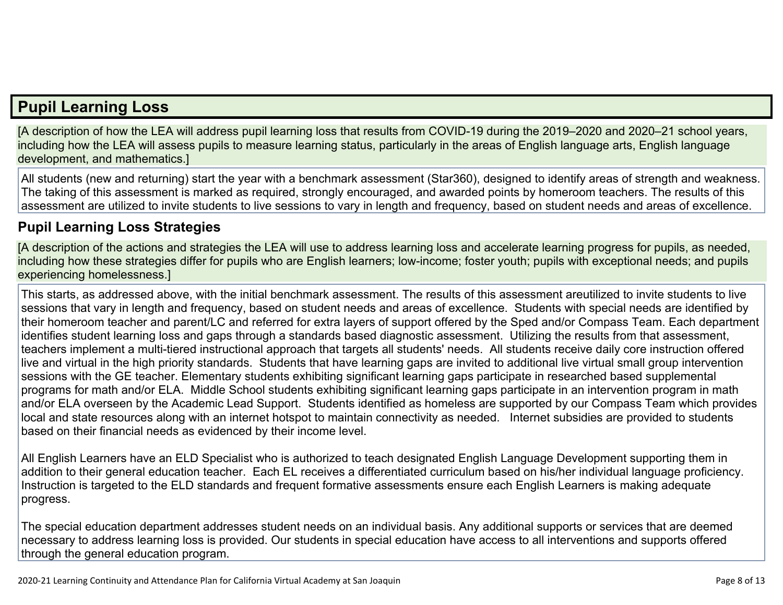## **Pupil [Learning](http://www.doc-tracking.com/screenshots/20LCP/Instructions/20LCPInstructions.htm#PupilLearningLoss) Loss**

[A description of how the LEA will address pupil learning loss that results from COVID-19 during the 2019–2020 and 2020–21 school years, including how the LEA will assess pupils to measure learning status, particularly in the areas of English language arts, English language development, and mathematics.]

All students (new and returning) start the year with a benchmark assessment (Star360), designed to identify areas of strength and weakness. The taking of this assessment is marked as required, strongly encouraged, and awarded points by homeroom teachers. The results of this assessment are utilized to invite students to live sessions to vary in length and frequency, based on student needs and areas of excellence.

#### **Pupil Learning Loss [Strategies](http://www.doc-tracking.com/screenshots/20LCP/Instructions/20LCPInstructions.htm#PupilLearningLoss1)**

[A description of the actions and strategies the LEA will use to address learning loss and accelerate learning progress for pupils, as needed, including how these strategies differ for pupils who are English learners; low-income; foster youth; pupils with exceptional needs; and pupils experiencing homelessness.]

This starts, as addressed above, with the initial benchmark assessment. The results of this assessment areutilized to invite students to live sessions that vary in length and frequency, based on student needs and areas of excellence. Students with special needs are identified by their homeroom teacher and parent/LC and referred for extra layers of support offered by the Sped and/or Compass Team. Each department identifies student learning loss and gaps through a standards based diagnostic assessment. Utilizing the results from that assessment, teachers implement a multi-tiered instructional approach that targets all students' needs. All students receive daily core instruction offered live and virtual in the high priority standards. Students that have learning gaps are invited to additional live virtual small group intervention sessions with the GE teacher. Elementary students exhibiting significant learning gaps participate in researched based supplemental programs for math and/or ELA. Middle School students exhibiting significant learning gaps participate in an intervention program in math and/or ELA overseen by the Academic Lead Support. Students identified as homeless are supported by our Compass Team which provides local and state resources along with an internet hotspot to maintain connectivity as needed. Internet subsidies are provided to students based on their financial needs as evidenced by their income level.

All English Learners have an ELD Specialist who is authorized to teach designated English Language Development supporting them in addition to their general education teacher. Each EL receives a differentiated curriculum based on his/her individual language proficiency. Instruction is targeted to the ELD standards and frequent formative assessments ensure each English Learners is making adequate progress.

The special education department addresses student needs on an individual basis. Any additional supports or services that are deemed necessary to address learning loss is provided. Our students in special education have access to all interventions and supports offered through the general education program.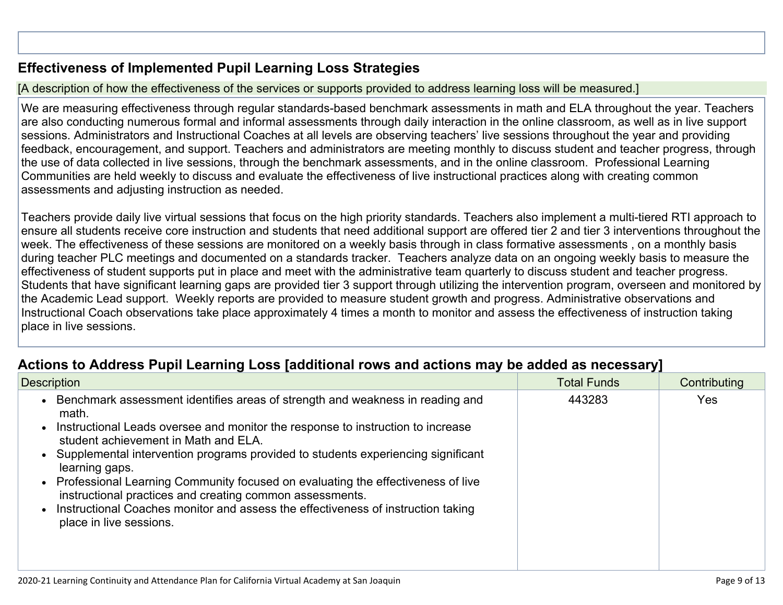#### **[Effectiveness](http://www.doc-tracking.com/screenshots/20LCP/Instructions/20LCPInstructions.htm#PupilLearningLoss2) of Implemented Pupil Learning Loss Strategies**

#### [A description of how the effectiveness of the services or supports provided to address learning loss will be measured.]

We are measuring effectiveness through regular standards-based benchmark assessments in math and ELA throughout the year. Teachers are also conducting numerous formal and informal assessments through daily interaction in the online classroom, as well as in live support sessions. Administrators and Instructional Coaches at all levels are observing teachers' live sessions throughout the year and providing feedback, encouragement, and support. Teachers and administrators are meeting monthly to discuss student and teacher progress, through the use of data collected in live sessions, through the benchmark assessments, and in the online classroom. Professional Learning Communities are held weekly to discuss and evaluate the effectiveness of live instructional practices along with creating common assessments and adjusting instruction as needed.

Teachers provide daily live virtual sessions that focus on the high priority standards. Teachers also implement a multi-tiered RTI approach to ensure all students receive core instruction and students that need additional support are offered tier 2 and tier 3 interventions throughout the week. The effectiveness of these sessions are monitored on a weekly basis through in class formative assessments , on a monthly basis during teacher PLC meetings and documented on a standards tracker. Teachers analyze data on an ongoing weekly basis to measure the effectiveness of student supports put in place and meet with the administrative team quarterly to discuss student and teacher progress. Students that have significant learning gaps are provided tier 3 support through utilizing the intervention program, overseen and monitored by the Academic Lead support. Weekly reports are provided to measure student growth and progress. Administrative observations and Instructional Coach observations take place approximately 4 times a month to monitor and assess the effectiveness of instruction taking place in live sessions.

#### **Actions to Address Pupil Learning Loss [additional rows and actions may be added as [necessary\]](http://www.doc-tracking.com/screenshots/20LCP/Instructions/20LCPInstructions.htm#PupilLearningLoss4)**

| <b>Description</b>                                                                                                                                                                                                                                                                                                                                                                                                                                                                                                                                                                    | <b>Total Funds</b> | Contributing |
|---------------------------------------------------------------------------------------------------------------------------------------------------------------------------------------------------------------------------------------------------------------------------------------------------------------------------------------------------------------------------------------------------------------------------------------------------------------------------------------------------------------------------------------------------------------------------------------|--------------------|--------------|
| Benchmark assessment identifies areas of strength and weakness in reading and<br>math.<br>Instructional Leads oversee and monitor the response to instruction to increase<br>student achievement in Math and ELA.<br>Supplemental intervention programs provided to students experiencing significant<br>learning gaps.<br>Professional Learning Community focused on evaluating the effectiveness of live<br>instructional practices and creating common assessments.<br>Instructional Coaches monitor and assess the effectiveness of instruction taking<br>place in live sessions. | 443283             | <b>Yes</b>   |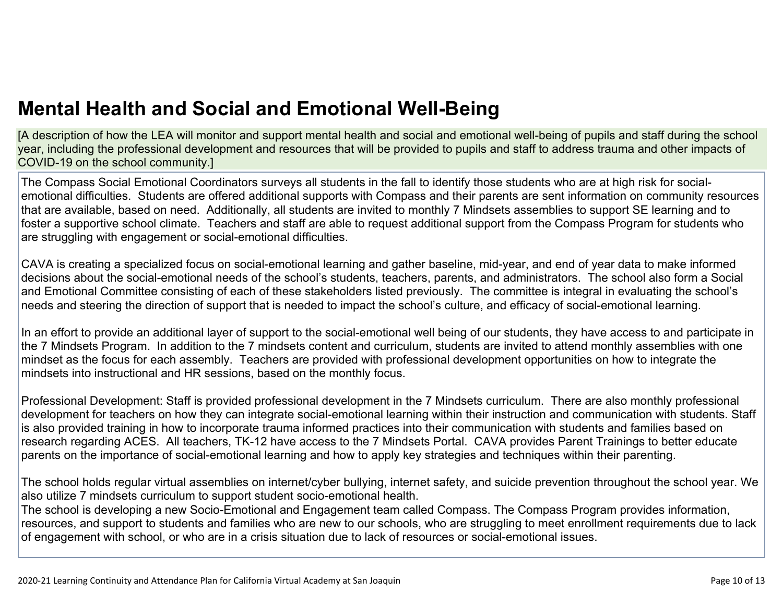[A description of how the LEA will monitor and support mental health and social and emotional well-being of pupils and staff during the school year, including the professional development and resources that will be provided to pupils and staff to address trauma and other impacts of COVID-19 on the school community.]

The Compass Social Emotional Coordinators surveys all students in the fall to identify those students who are at high risk for socialemotional difficulties. Students are offered additional supports with Compass and their parents are sent information on community resources that are available, based on need. Additionally, all students are invited to monthly 7 Mindsets assemblies to support SE learning and to foster a supportive school climate. Teachers and staff are able to request additional support from the Compass Program for students who are struggling with engagement or social-emotional difficulties.

CAVA is creating a specialized focus on social-emotional learning and gather baseline, mid-year, and end of year data to make informed decisions about the social-emotional needs of the school's students, teachers, parents, and administrators. The school also form a Social and Emotional Committee consisting of each of these stakeholders listed previously. The committee is integral in evaluating the school's needs and steering the direction of support that is needed to impact the school's culture, and efficacy of social-emotional learning.

In an effort to provide an additional layer of support to the social-emotional well being of our students, they have access to and participate in the 7 Mindsets Program. In addition to the 7 mindsets content and curriculum, students are invited to attend monthly assemblies with one mindset as the focus for each assembly. Teachers are provided with professional development opportunities on how to integrate the mindsets into instructional and HR sessions, based on the monthly focus.

Professional Development: Staff is provided professional development in the 7 Mindsets curriculum. There are also monthly professional development for teachers on how they can integrate social-emotional learning within their instruction and communication with students. Staff is also provided training in how to incorporate trauma informed practices into their communication with students and families based on research regarding ACES. All teachers, TK-12 have access to the 7 Mindsets Portal. CAVA provides Parent Trainings to better educate parents on the importance of social-emotional learning and how to apply key strategies and techniques within their parenting.

The school holds regular virtual assemblies on internet/cyber bullying, internet safety, and suicide prevention throughout the school year. We also utilize 7 mindsets curriculum to support student socio-emotional health.

The school is developing a new Socio-Emotional and Engagement team called Compass. The Compass Program provides information, resources, and support to students and families who are new to our schools, who are struggling to meet enrollment requirements due to lack of engagement with school, or who are in a crisis situation due to lack of resources or social-emotional issues.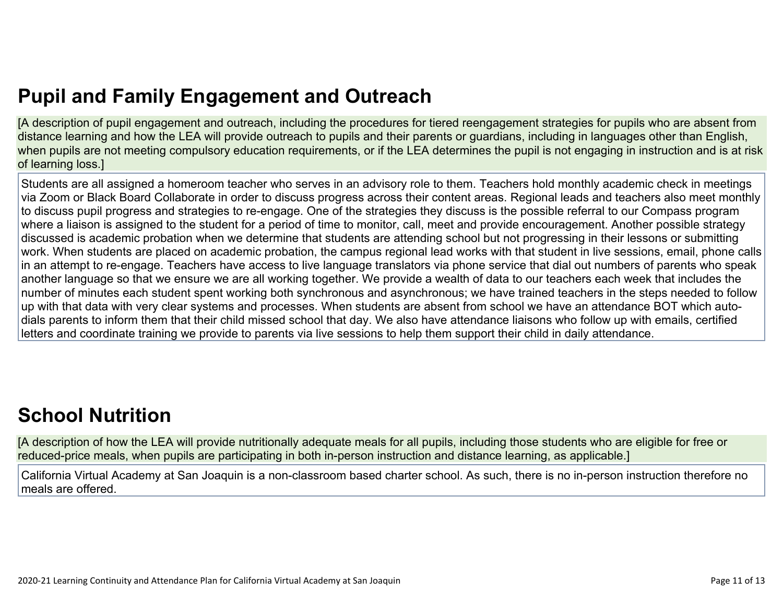# **Pupil and Family [Engagement](http://www.doc-tracking.com/screenshots/20LCP/Instructions/20LCPInstructions.htm#PupilEngagementandOutreach) and Outreach**

[A description of pupil engagement and outreach, including the procedures for tiered reengagement strategies for pupils who are absent from distance learning and how the LEA will provide outreach to pupils and their parents or guardians, including in languages other than English, when pupils are not meeting compulsory education requirements, or if the LEA determines the pupil is not engaging in instruction and is at risk of learning loss.]

Students are all assigned a homeroom teacher who serves in an advisory role to them. Teachers hold monthly academic check in meetings via Zoom or Black Board Collaborate in order to discuss progress across their content areas. Regional leads and teachers also meet monthly to discuss pupil progress and strategies to re-engage. One of the strategies they discuss is the possible referral to our Compass program where a liaison is assigned to the student for a period of time to monitor, call, meet and provide encouragement. Another possible strategy discussed is academic probation when we determine that students are attending school but not progressing in their lessons or submitting work. When students are placed on academic probation, the campus regional lead works with that student in live sessions, email, phone calls in an attempt to re-engage. Teachers have access to live language translators via phone service that dial out numbers of parents who speak another language so that we ensure we are all working together. We provide a wealth of data to our teachers each week that includes the number of minutes each student spent working both synchronous and asynchronous; we have trained teachers in the steps needed to follow up with that data with very clear systems and processes. When students are absent from school we have an attendance BOT which autodials parents to inform them that their child missed school that day. We also have attendance liaisons who follow up with emails, certified letters and coordinate training we provide to parents via live sessions to help them support their child in daily attendance.

# **School [Nutrition](http://www.doc-tracking.com/screenshots/20LCP/Instructions/20LCPInstructions.htm#SchoolNutrition)**

[A description of how the LEA will provide nutritionally adequate meals for all pupils, including those students who are eligible for free or reduced-price meals, when pupils are participating in both in-person instruction and distance learning, as applicable.]

California Virtual Academy at San Joaquin is a non-classroom based charter school. As such, there is no in-person instruction therefore no meals are offered.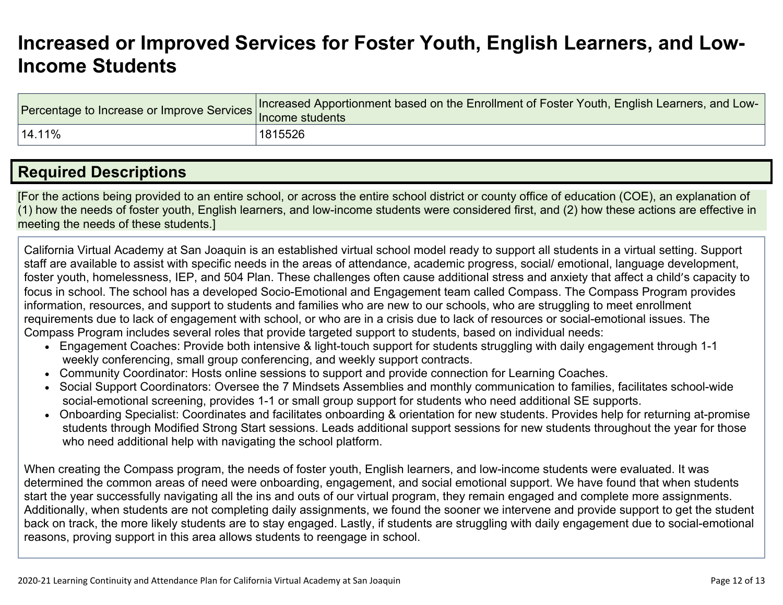## **[Increased](http://www.doc-tracking.com/screenshots/20LCP/Instructions/20LCPInstructions.htm#IncreasedorImprovedServices) or Improved Services for Foster Youth, English Learners, and Low-Income [Students](http://www.doc-tracking.com/screenshots/20LCP/Instructions/20LCPInstructions.htm#IncreasedorImprovedServices)**

| Percentage to Increase or Improve Services  Increased Apport | Here ased Apportionment based on the Enrollment of Foster Youth, English Learners, and Low- |
|--------------------------------------------------------------|---------------------------------------------------------------------------------------------|
| 14.11%                                                       | 1815526                                                                                     |

### **Required [Descriptions](http://www.doc-tracking.com/screenshots/20LCP/Instructions/20LCPInstructions.htm#RequiredDescriptions)**

[For the actions being provided to an entire school, or across the entire school district or county office of education (COE), an explanation of (1) how the needs of foster youth, English learners, and low-income students were considered first, and (2) how these actions are effective in meeting the needs of these students.]

California Virtual Academy at San Joaquin is an established virtual school model ready to support all students in a virtual setting. Support staff are available to assist with specific needs in the areas of attendance, academic progress, social/ emotional, language development, foster youth, homelessness, IEP, and 504 Plan. These challenges often cause additional stress and anxiety that affect a child's capacity to focus in school. The school has a developed Socio-Emotional and Engagement team called Compass. The Compass Program provides information, resources, and support to students and families who are new to our schools, who are struggling to meet enrollment requirements due to lack of engagement with school, or who are in a crisis due to lack of resources or social-emotional issues. The Compass Program includes several roles that provide targeted support to students, based on individual needs:

- Engagement Coaches: Provide both intensive & light-touch support for students struggling with daily engagement through 1-1 weekly conferencing, small group conferencing, and weekly support contracts.
- Community Coordinator: Hosts online sessions to support and provide connection for Learning Coaches.
- Social Support Coordinators: Oversee the 7 Mindsets Assemblies and monthly communication to families, facilitates school-wide social-emotional screening, provides 1-1 or small group support for students who need additional SE supports.
- Onboarding Specialist: Coordinates and facilitates onboarding & orientation for new students. Provides help for returning at-promise students through Modified Strong Start sessions. Leads additional support sessions for new students throughout the year for those who need additional help with navigating the school platform.

When creating the Compass program, the needs of foster youth, English learners, and low-income students were evaluated. It was determined the common areas of need were onboarding, engagement, and social emotional support. We have found that when students start the year successfully navigating all the ins and outs of our virtual program, they remain engaged and complete more assignments. Additionally, when students are not completing daily assignments, we found the sooner we intervene and provide support to get the student back on track, the more likely students are to stay engaged. Lastly, if students are struggling with daily engagement due to social-emotional reasons, proving support in this area allows students to reengage in school.